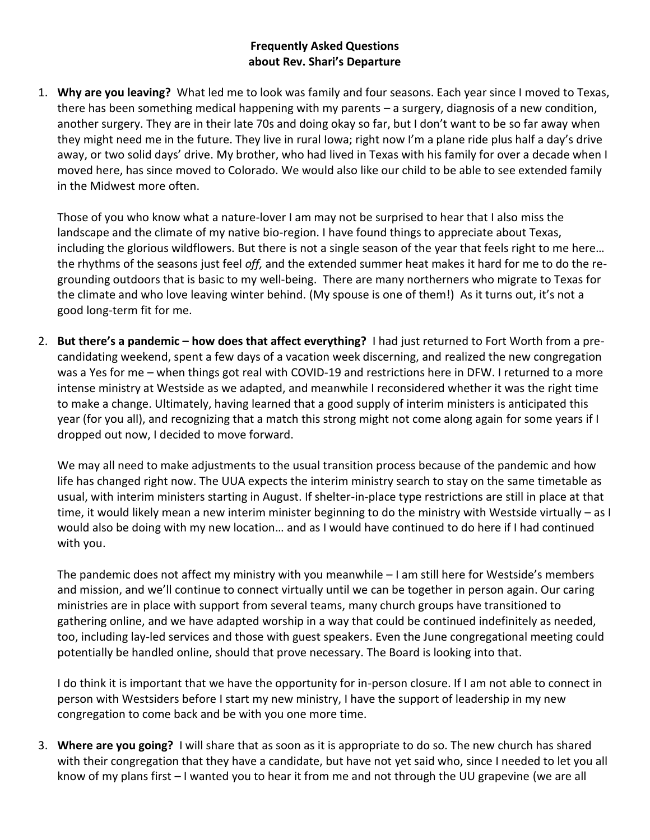## **Frequently Asked Questions about Rev. Shari's Departure**

1. **Why are you leaving?** What led me to look was family and four seasons. Each year since I moved to Texas, there has been something medical happening with my parents – a surgery, diagnosis of a new condition, another surgery. They are in their late 70s and doing okay so far, but I don't want to be so far away when they might need me in the future. They live in rural Iowa; right now I'm a plane ride plus half a day's drive away, or two solid days' drive. My brother, who had lived in Texas with his family for over a decade when I moved here, has since moved to Colorado. We would also like our child to be able to see extended family in the Midwest more often.

Those of you who know what a nature-lover I am may not be surprised to hear that I also miss the landscape and the climate of my native bio-region. I have found things to appreciate about Texas, including the glorious wildflowers. But there is not a single season of the year that feels right to me here… the rhythms of the seasons just feel *off,* and the extended summer heat makes it hard for me to do the regrounding outdoors that is basic to my well-being. There are many northerners who migrate to Texas for the climate and who love leaving winter behind. (My spouse is one of them!) As it turns out, it's not a good long-term fit for me.

2. **But there's a pandemic – how does that affect everything?** I had just returned to Fort Worth from a precandidating weekend, spent a few days of a vacation week discerning, and realized the new congregation was a Yes for me – when things got real with COVID-19 and restrictions here in DFW. I returned to a more intense ministry at Westside as we adapted, and meanwhile I reconsidered whether it was the right time to make a change. Ultimately, having learned that a good supply of interim ministers is anticipated this year (for you all), and recognizing that a match this strong might not come along again for some years if I dropped out now, I decided to move forward.

We may all need to make adjustments to the usual transition process because of the pandemic and how life has changed right now. The UUA expects the interim ministry search to stay on the same timetable as usual, with interim ministers starting in August. If shelter-in-place type restrictions are still in place at that time, it would likely mean a new interim minister beginning to do the ministry with Westside virtually – as I would also be doing with my new location… and as I would have continued to do here if I had continued with you.

The pandemic does not affect my ministry with you meanwhile – I am still here for Westside's members and mission, and we'll continue to connect virtually until we can be together in person again. Our caring ministries are in place with support from several teams, many church groups have transitioned to gathering online, and we have adapted worship in a way that could be continued indefinitely as needed, too, including lay-led services and those with guest speakers. Even the June congregational meeting could potentially be handled online, should that prove necessary. The Board is looking into that.

I do think it is important that we have the opportunity for in-person closure. If I am not able to connect in person with Westsiders before I start my new ministry, I have the support of leadership in my new congregation to come back and be with you one more time.

3. **Where are you going?** I will share that as soon as it is appropriate to do so. The new church has shared with their congregation that they have a candidate, but have not yet said who, since I needed to let you all know of my plans first – I wanted you to hear it from me and not through the UU grapevine (we are all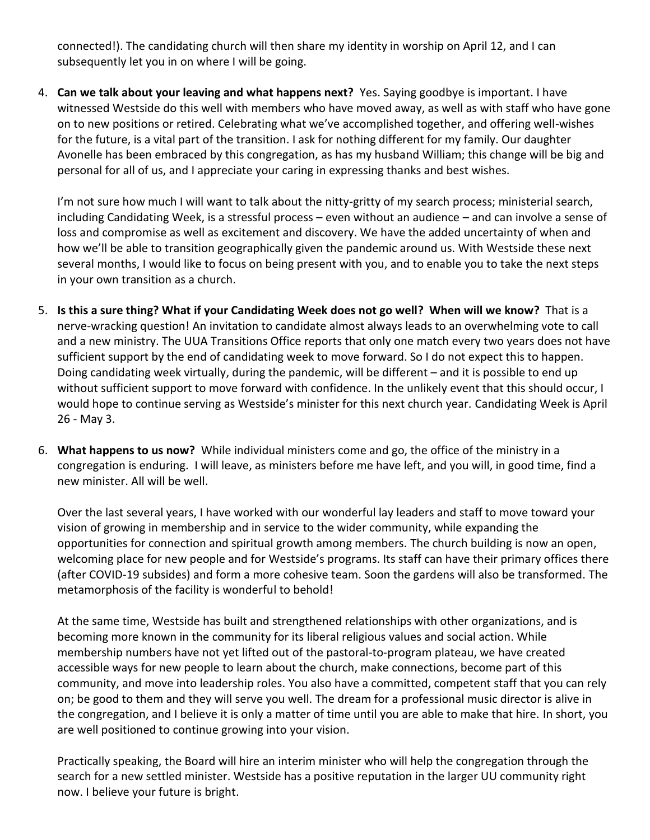connected!). The candidating church will then share my identity in worship on April 12, and I can subsequently let you in on where I will be going.

4. **Can we talk about your leaving and what happens next?** Yes. Saying goodbye is important. I have witnessed Westside do this well with members who have moved away, as well as with staff who have gone on to new positions or retired. Celebrating what we've accomplished together, and offering well-wishes for the future, is a vital part of the transition. I ask for nothing different for my family. Our daughter Avonelle has been embraced by this congregation, as has my husband William; this change will be big and personal for all of us, and I appreciate your caring in expressing thanks and best wishes.

I'm not sure how much I will want to talk about the nitty-gritty of my search process; ministerial search, including Candidating Week, is a stressful process – even without an audience – and can involve a sense of loss and compromise as well as excitement and discovery. We have the added uncertainty of when and how we'll be able to transition geographically given the pandemic around us. With Westside these next several months, I would like to focus on being present with you, and to enable you to take the next steps in your own transition as a church.

- 5. **Is this a sure thing? What if your Candidating Week does not go well? When will we know?** That is a nerve-wracking question! An invitation to candidate almost always leads to an overwhelming vote to call and a new ministry. The UUA Transitions Office reports that only one match every two years does not have sufficient support by the end of candidating week to move forward. So I do not expect this to happen. Doing candidating week virtually, during the pandemic, will be different – and it is possible to end up without sufficient support to move forward with confidence. In the unlikely event that this should occur, I would hope to continue serving as Westside's minister for this next church year. Candidating Week is April 26 - May 3.
- 6. **What happens to us now?** While individual ministers come and go, the office of the ministry in a congregation is enduring. I will leave, as ministers before me have left, and you will, in good time, find a new minister. All will be well.

Over the last several years, I have worked with our wonderful lay leaders and staff to move toward your vision of growing in membership and in service to the wider community, while expanding the opportunities for connection and spiritual growth among members. The church building is now an open, welcoming place for new people and for Westside's programs. Its staff can have their primary offices there (after COVID-19 subsides) and form a more cohesive team. Soon the gardens will also be transformed. The metamorphosis of the facility is wonderful to behold!

At the same time, Westside has built and strengthened relationships with other organizations, and is becoming more known in the community for its liberal religious values and social action. While membership numbers have not yet lifted out of the pastoral-to-program plateau, we have created accessible ways for new people to learn about the church, make connections, become part of this community, and move into leadership roles. You also have a committed, competent staff that you can rely on; be good to them and they will serve you well. The dream for a professional music director is alive in the congregation, and I believe it is only a matter of time until you are able to make that hire. In short, you are well positioned to continue growing into your vision.

Practically speaking, the Board will hire an interim minister who will help the congregation through the search for a new settled minister. Westside has a positive reputation in the larger UU community right now. I believe your future is bright.